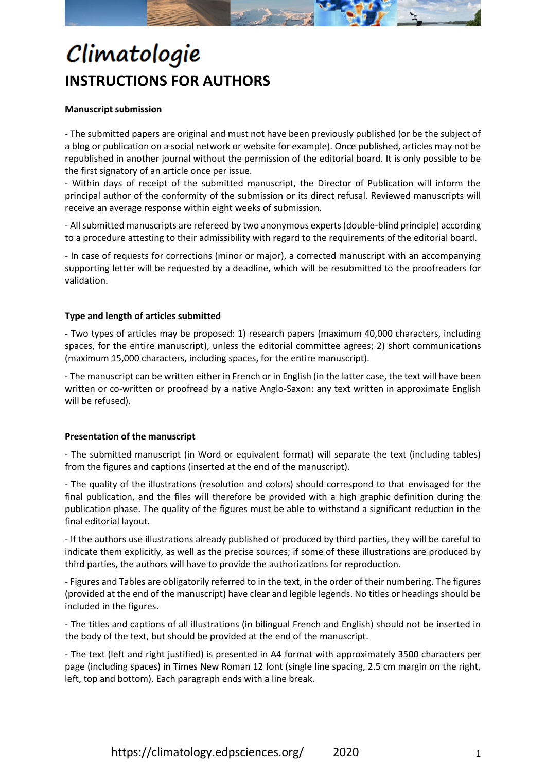

## Climatologie **INSTRUCTIONS FOR AUTHORS**

#### **Manuscript submission**

- The submitted papers are original and must not have been previously published (or be the subject of a blog or publication on a social network or website for example). Once published, articles may not be republished in another journal without the permission of the editorial board. It is only possible to be the first signatory of an article once per issue.

- Within days of receipt of the submitted manuscript, the Director of Publication will inform the principal author of the conformity of the submission or its direct refusal. Reviewed manuscripts will receive an average response within eight weeks of submission.

- All submitted manuscripts are refereed by two anonymous experts (double-blind principle) according to a procedure attesting to their admissibility with regard to the requirements of the editorial board.

- In case of requests for corrections (minor or major), a corrected manuscript with an accompanying supporting letter will be requested by a deadline, which will be resubmitted to the proofreaders for validation.

#### **Type and length of articles submitted**

- Two types of articles may be proposed: 1) research papers (maximum 40,000 characters, including spaces, for the entire manuscript), unless the editorial committee agrees; 2) short communications (maximum 15,000 characters, including spaces, for the entire manuscript).

- The manuscript can be written either in French or in English (in the latter case, the text will have been written or co-written or proofread by a native Anglo-Saxon: any text written in approximate English will be refused).

#### **Presentation of the manuscript**

- The submitted manuscript (in Word or equivalent format) will separate the text (including tables) from the figures and captions (inserted at the end of the manuscript).

- The quality of the illustrations (resolution and colors) should correspond to that envisaged for the final publication, and the files will therefore be provided with a high graphic definition during the publication phase. The quality of the figures must be able to withstand a significant reduction in the final editorial layout.

- If the authors use illustrations already published or produced by third parties, they will be careful to indicate them explicitly, as well as the precise sources; if some of these illustrations are produced by third parties, the authors will have to provide the authorizations for reproduction.

- Figures and Tables are obligatorily referred to in the text, in the order of their numbering. The figures (provided at the end of the manuscript) have clear and legible legends. No titles or headings should be included in the figures.

- The titles and captions of all illustrations (in bilingual French and English) should not be inserted in the body of the text, but should be provided at the end of the manuscript.

- The text (left and right justified) is presented in A4 format with approximately 3500 characters per page (including spaces) in Times New Roman 12 font (single line spacing, 2.5 cm margin on the right, left, top and bottom). Each paragraph ends with a line break.